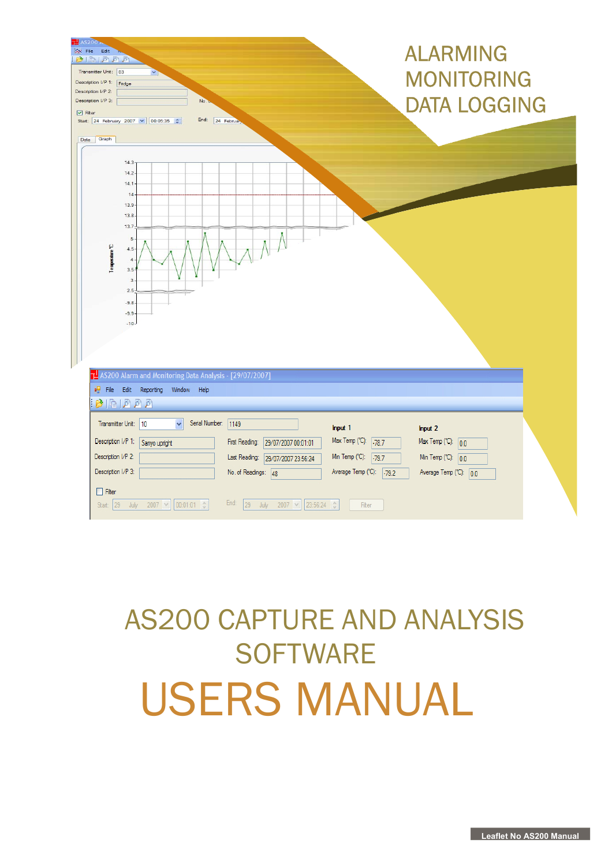| T <sub>45200</sub><br>X File Edit<br>$B \cap B$<br>Transmitter Unit: 03<br>×٦<br>Description I/P 1: Fridge<br>Description I/P 2:<br>Description I/P 3:<br>No.<br>$\triangledown$ Filter<br>End:<br>Start: 24 February 2007 v 00:05:35 $\div$<br>24 Februar<br>Data Graph                                                                                                                                                                                                                            | <b>ALARMING</b><br><b>MONITORING</b><br><b>DATA LOGGING</b>                                                         |
|-----------------------------------------------------------------------------------------------------------------------------------------------------------------------------------------------------------------------------------------------------------------------------------------------------------------------------------------------------------------------------------------------------------------------------------------------------------------------------------------------------|---------------------------------------------------------------------------------------------------------------------|
| 14.3<br>14.2<br>14.1<br>14<br>$13.9 -$<br>13.8.<br>13.7<br>$5 -$<br>Temperature T<br>$4.5 -$<br>$\ddot{a}$<br>$3.5 -$<br>$\overline{3}$<br>$2.5 -$<br>$-9.8 -$<br>$-9.9 -$<br>$-10-$<br>29/07/2007] AS200 Alarm and Monitoring Data Analysis - [29/07/2007]                                                                                                                                                                                                                                         |                                                                                                                     |
| ou File Edit Reporting<br>Window<br>Help<br>$\mathbb{B} \boxtimes \mathbb{B}$                                                                                                                                                                                                                                                                                                                                                                                                                       |                                                                                                                     |
| Serial Number:<br>Transmitter Unit:   10<br>$\checkmark$<br> 1149<br>Input 1<br>Description I/P 1:<br>Max Temp (°C):<br>Sanyo upright<br>First Reading:<br>29/07/2007 00:01:01<br>$-78.7$<br>Description I/P 2:<br>Min Temp (°C):<br>Last Reading:<br>$-79.7$<br>29/07/2007 23:56:24<br>Description I/P 3:<br>Average Temp (°C):<br>No. of Readings: 48<br>$\Box$ Filter<br>End:<br>$ 00:01:01$ $\div$<br>23:56:24<br>Start: $29$<br>$2007$ $\vee$<br>29<br>July<br>$2007$ $\vee$<br>Filter<br>July | Input 2<br>Max Temp (°C):<br> 0.0 <br>Min Temp ( $^{\circ}$ C): 0.0<br>Average Temp ( $^{\circ}$ C): 0.0<br>$-79.2$ |

# AS200 CAPTURE AND ANALYSIS **SOFTWARE** USERS MANUAL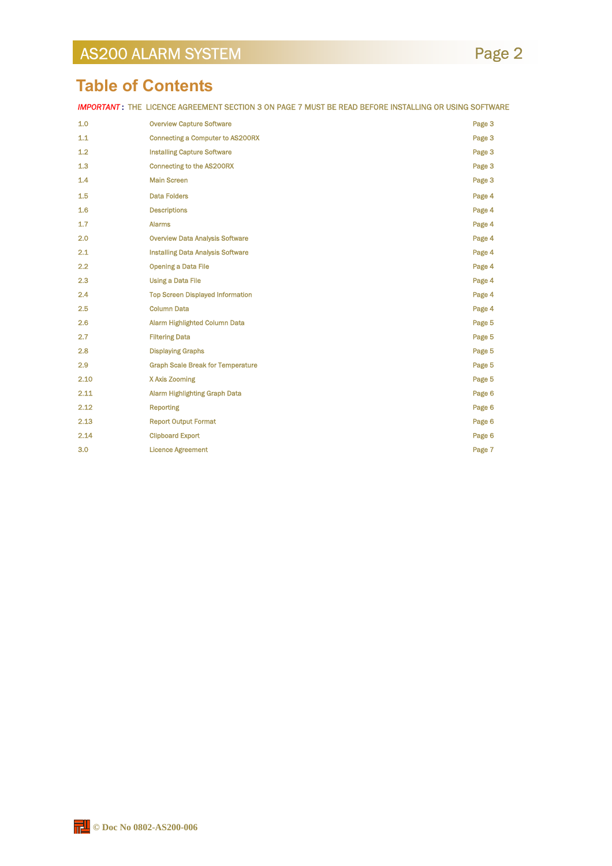### **Table of Contents**

**IMPORTANT:** THE LICENCE AGREEMENT SECTION 3 ON PAGE 7 MUST BE READ BEFORE INSTALLING OR USING SOFTWARE

| 1.0  | <b>Overview Capture Software</b>         | Page 3 |
|------|------------------------------------------|--------|
| 1.1  | Connecting a Computer to AS200RX         | Page 3 |
| 1.2  | <b>Installing Capture Software</b>       | Page 3 |
| 1.3  | <b>Connecting to the AS200RX</b>         | Page 3 |
| 1.4  | <b>Main Screen</b>                       | Page 3 |
| 1.5  | <b>Data Folders</b>                      | Page 4 |
| 1.6  | <b>Descriptions</b>                      | Page 4 |
| 1.7  | <b>Alarms</b>                            | Page 4 |
| 2.0  | <b>Overview Data Analysis Software</b>   | Page 4 |
| 2.1  | <b>Installing Data Analysis Software</b> | Page 4 |
| 2.2  | <b>Opening a Data File</b>               | Page 4 |
| 2.3  | <b>Using a Data File</b>                 | Page 4 |
| 2.4  | <b>Top Screen Displayed Information</b>  | Page 4 |
| 2.5  | <b>Column Data</b>                       | Page 4 |
| 2.6  | <b>Alarm Highlighted Column Data</b>     | Page 5 |
| 2.7  | <b>Filtering Data</b>                    | Page 5 |
| 2.8  | <b>Displaying Graphs</b>                 | Page 5 |
| 2.9  | <b>Graph Scale Break for Temperature</b> | Page 5 |
| 2.10 | X Axis Zooming                           | Page 5 |
| 2.11 | <b>Alarm Highlighting Graph Data</b>     | Page 6 |
| 2.12 | <b>Reporting</b>                         | Page 6 |
| 2.13 | <b>Report Output Format</b>              | Page 6 |
| 2.14 | <b>Clipboard Export</b>                  | Page 6 |
| 3.0  | <b>Licence Agreement</b>                 | Page 7 |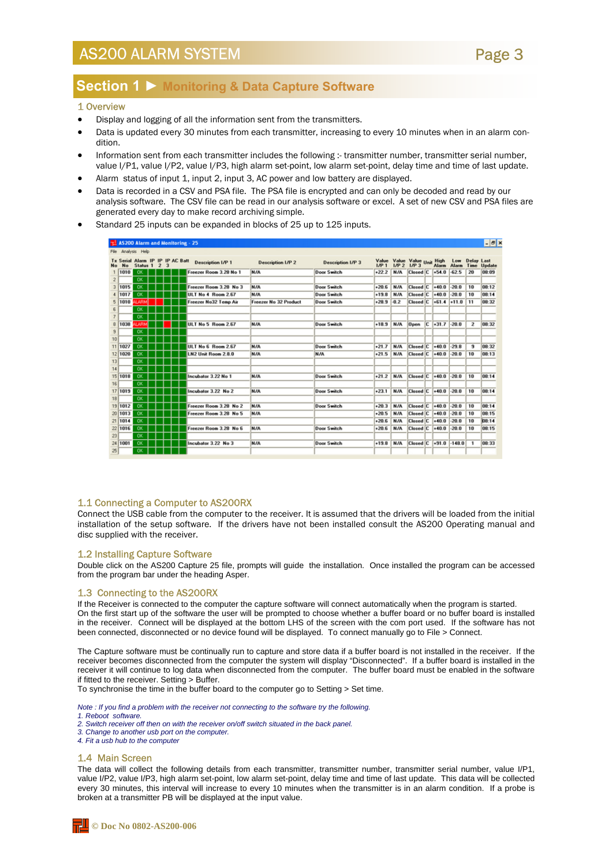### Page 3

### **Section 1 ► Monitoring & Data Capture Software**

#### 1 Overview

- Display and logging of all the information sent from the transmitters.
- Data is updated every 30 minutes from each transmitter, increasing to every 10 minutes when in an alarm condition.
- Information sent from each transmitter includes the following :- transmitter number, transmitter serial number, value I/P1, value I/P2, value I/P3, high alarm set-point, low alarm set-point, delay time and time of last update.
- Alarm status of input 1, input 2, input 3, AC power and low battery are displayed.
- Data is recorded in a CSV and PSA file. The PSA file is encrypted and can only be decoded and read by our analysis software. The CSV file can be read in our analysis software or excel. A set of new CSV and PSA files are generated every day to make record archiving simple.
- Standard 25 inputs can be expanded in blocks of 25 up to 125 inputs.

|                          |                        | AS200 Alarm and Monitoring - 25    |                |   |  |                          |                              |                          |         |                 |                                                            |                  |              |                         | $ \sigma$ x |
|--------------------------|------------------------|------------------------------------|----------------|---|--|--------------------------|------------------------------|--------------------------|---------|-----------------|------------------------------------------------------------|------------------|--------------|-------------------------|-------------|
|                          |                        | File Analysis Help                 |                |   |  |                          |                              |                          |         |                 |                                                            |                  |              |                         |             |
| No                       | <b>Tx Secial</b><br>No | Alarm IP IP IP AC Batt<br>Status 1 | $\overline{z}$ | 3 |  | <b>Description I/P 1</b> | <b>Description I/P 2</b>     | <b>Description I/P 3</b> | IP1     | MP <sub>2</sub> | Value Value Value <sub>Linit</sub> High<br>IP <sub>3</sub> | Alarm            | Low<br>Alarm | Delay Last<br>Time      | Update      |
| $\mathbf{1}$             | 1010                   | <b>OK</b>                          |                |   |  | Freezer Room 3.28 No 1   | N/A                          | <b>Door Switch</b>       | $+22.2$ | N/A             | Closed C                                                   | $+54.0$          | $-62.5$      | 20                      | 08:09       |
| $\overline{c}$           |                        | OK                                 |                |   |  |                          |                              |                          |         |                 |                                                            |                  |              |                         |             |
| 3                        | 1015                   | <b>OK</b>                          |                |   |  | Freezer Room 3.28 No 3   | N/A                          | <b>Door Switch</b>       | $+20.6$ | N/A             | Closed C                                                   | $+40.0$          | $-20.0$      | 10                      | 08:12       |
|                          | 4 1017                 | <b>OK</b>                          |                |   |  | ULT No 4 Room 2.67       | N/A                          | <b>Door Switch</b>       | $+19.8$ | N/A             | Closed C                                                   | $+40.0$          | $-20.0$      | 10                      | 08:14       |
| 5                        | 1010                   | LARM                               |                |   |  | Freezer No32 Temp Air    | <b>Freezer No 32 Product</b> | <b>Door Switch</b>       | $+28.9$ | $-0.2$          | Closed C                                                   | $+61.4$          | $+11.0$      | 11                      | 08:32       |
| 6                        |                        | OK                                 |                |   |  |                          |                              |                          |         |                 |                                                            |                  |              |                         |             |
| $\overline{\phantom{a}}$ |                        | OK                                 |                |   |  |                          |                              |                          |         |                 |                                                            |                  |              |                         |             |
| 8                        | 1038                   | LARM                               |                |   |  | ULT No 5 Room 2.67       | N/A                          | Door Switch              | $+18.9$ | N/A             | 0 <sub>pen</sub>                                           | $C$ +31.7        | $-20.0$      | $\overline{\mathbf{z}}$ | 08:32       |
| 9                        |                        | OK                                 |                |   |  |                          |                              |                          |         |                 |                                                            |                  |              |                         |             |
| 10 <sup>1</sup>          |                        | <b>OK</b>                          |                |   |  |                          |                              |                          |         |                 |                                                            |                  |              |                         |             |
|                          | 11 1027                | <b>OK</b>                          |                |   |  | ULT No 6 Room 2.67       | <b>N/A</b>                   | <b>Door Switch</b>       | $+21.7$ | N/A             | Closed C                                                   | $+40.0$          | $-29.8$      | 9                       | 08:32       |
|                          | 12 1020                | <b>OK</b>                          |                |   |  | LN2 Unit Room 2 8.0      | N/A                          | N/A                      | $+21.5$ | N/A             | Closed C                                                   | $+40.0$          | $-20.0$      | 10                      | 08:13       |
| 13                       |                        | <b>OK</b>                          |                |   |  |                          |                              |                          |         |                 |                                                            |                  |              |                         |             |
| 14                       |                        | OK                                 |                |   |  |                          |                              |                          |         |                 |                                                            |                  |              |                         |             |
|                          | 15 1018                | OK                                 |                |   |  | Incubator 3.22 No 1      | N/A                          | <b>Door Switch</b>       | $+21.2$ | N/A             | Closed C                                                   | $+40.0$          | $-20.0$      | 10                      | 08:14       |
| 16                       |                        | OK                                 |                |   |  |                          |                              |                          |         |                 |                                                            |                  |              |                         |             |
|                          | 17 1019                | <b>OK</b>                          |                |   |  | Incubator 3.22 No 2      | <b>N/A</b>                   | Door Switch              | $+23.1$ | N/A             | Closed C                                                   | $+40.0$          | $-20.0$      | 10                      | 08:14       |
| 18                       |                        | <b>OK</b>                          |                |   |  |                          |                              |                          |         |                 |                                                            |                  |              |                         |             |
|                          | 19 1012                | OK                                 |                |   |  | Freezer Room 3.28 No 2   | N/A                          | <b>Door Switch</b>       | $+20.3$ | N/A             | Closed C                                                   | $+40.0$          | $-20.0$      | 10                      | 08:14       |
|                          | 20 1013                | OK                                 |                |   |  | Freezer Room 3.28 No 5   | N/A                          |                          | $+20.5$ | N/A             | Closed C                                                   | $+40.0$          | $-20.0$      | 10                      | 08:15       |
|                          | 21 1014                | <b>OK</b>                          |                |   |  |                          |                              |                          | $+20.6$ | N/A             | Closed C                                                   | $+40.0$          | $-20.0$      | 10                      | 08:14       |
|                          | 22 1016                | <b>OK</b>                          |                |   |  | Freezer Room 3.28 No 6   | <b>N/A</b>                   | <b>Door Switch</b>       | $+20.6$ | N/A             | Closed C                                                   | $+40.0$          | $-20.0$      | 10                      | 08:15       |
| 23                       |                        | OK                                 |                |   |  |                          |                              |                          |         |                 |                                                            |                  |              |                         |             |
|                          | 24 1001                | OK                                 |                |   |  | Incubator 3.22 No 3      | N/A                          | <b>Door Switch</b>       | $+19.8$ | N/A             | Closed C                                                   | $+91.0$ $-148.0$ |              | $\mathbf{1}$            | 08:33       |
| 25                       |                        | <b>OK</b>                          |                |   |  |                          |                              |                          |         |                 |                                                            |                  |              |                         |             |

#### 1.1 Connecting a Computer to AS200RX

Connect the USB cable from the computer to the receiver. It is assumed that the drivers will be loaded from the initial installation of the setup software. If the drivers have not been installed consult the AS200 Operating manual and disc supplied with the receiver.

#### 1.2 Installing Capture Software

Double click on the AS200 Capture 25 file, prompts will guide the installation. Once installed the program can be accessed from the program bar under the heading Asper.

#### 1.3 Connecting to the AS200RX

If the Receiver is connected to the computer the capture software will connect automatically when the program is started. On the first start up of the software the user will be prompted to choose whether a buffer board or no buffer board is installed in the receiver. Connect will be displayed at the bottom LHS of the screen with the com port used. If the software has not been connected, disconnected or no device found will be displayed. To connect manually go to File > Connect.

The Capture software must be continually run to capture and store data if a buffer board is not installed in the receiver. If the receiver becomes disconnected from the computer the system will display "Disconnected". If a buffer board is installed in the receiver it will continue to log data when disconnected from the computer. The buffer board must be enabled in the software if fitted to the receiver. Setting > Buffer.

To synchronise the time in the buffer board to the computer go to Setting > Set time.

*Note : If you find a problem with the receiver not connecting to the software try the following.* 

- *1. Reboot software.*
- *2. Switch receiver off then on with the receiver on/off switch situated in the back panel.*
- *3. Change to another usb port on the computer.*
- *4. Fit a usb hub to the computer*

#### 1.4 Main Screen

The data will collect the following details from each transmitter, transmitter number, transmitter serial number, value I/P1, value I/P2, value I/P3, high alarm set-point, low alarm set-point, delay time and time of last update. This data will be collected every 30 minutes, this interval will increase to every 10 minutes when the transmitter is in an alarm condition. If a probe is broken at a transmitter PB will be displayed at the input value.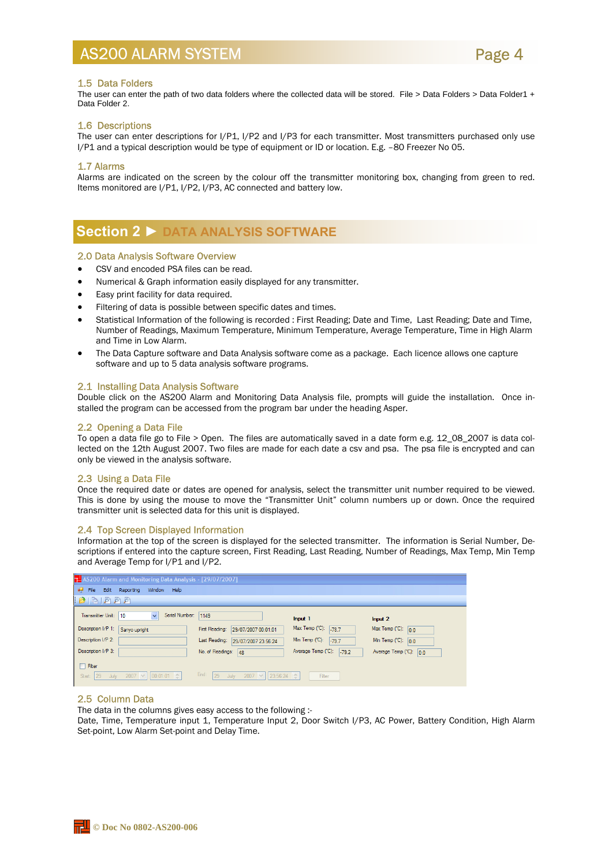

#### 1.5 Data Folders

The user can enter the path of two data folders where the collected data will be stored. File > Data Folders > Data Folder1 + Data Folder 2.

#### 1.6 Descriptions

The user can enter descriptions for I/P1, I/P2 and I/P3 for each transmitter. Most transmitters purchased only use I/P1 and a typical description would be type of equipment or ID or location. E.g. –80 Freezer No 05.

#### 1.7 Alarms

Alarms are indicated on the screen by the colour off the transmitter monitoring box, changing from green to red. Items monitored are I/P1, I/P2, I/P3, AC connected and battery low.

### **Section 2 ► DATA ANALYSIS SOFTWARE**

#### 2.0 Data Analysis Software Overview

- CSV and encoded PSA files can be read.
- Numerical & Graph information easily displayed for any transmitter.
- Easy print facility for data required.
- Filtering of data is possible between specific dates and times.
- Statistical Information of the following is recorded : First Reading; Date and Time, Last Reading; Date and Time, Number of Readings, Maximum Temperature, Minimum Temperature, Average Temperature, Time in High Alarm and Time in Low Alarm.
- The Data Capture software and Data Analysis software come as a package. Each licence allows one capture software and up to 5 data analysis software programs.

#### 2.1 Installing Data Analysis Software

Double click on the AS200 Alarm and Monitoring Data Analysis file, prompts will guide the installation. Once installed the program can be accessed from the program bar under the heading Asper.

#### 2.2 Opening a Data File

To open a data file go to File > Open. The files are automatically saved in a date form e.g. 12\_08\_2007 is data collected on the 12th August 2007. Two files are made for each date a csv and psa. The psa file is encrypted and can only be viewed in the analysis software.

#### 2.3 Using a Data File

Once the required date or dates are opened for analysis, select the transmitter unit number required to be viewed. This is done by using the mouse to move the "Transmitter Unit" column numbers up or down. Once the required transmitter unit is selected data for this unit is displayed.

#### 2.4 Top Screen Displayed Information

Information at the top of the screen is displayed for the selected transmitter. The information is Serial Number, Descriptions if entered into the capture screen, First Reading, Last Reading, Number of Readings, Max Temp, Min Temp and Average Temp for I/P1 and I/P2.

| AS200 Alarm and Monitoring Data Analysis - [29/07/2007]               |                                             |                               |                                  |
|-----------------------------------------------------------------------|---------------------------------------------|-------------------------------|----------------------------------|
| a <sup>n</sup> File Edit Reporting<br>Window Help                     |                                             |                               |                                  |
| $\mathbb{B} \mathbb{B} \mathbb{B}$ , $\mathbb{B} \mathbb{B}$          |                                             |                               |                                  |
| Serial Number: 1149<br>Transmitter Unit:<br>10<br>$\checkmark$        |                                             | Input 1                       | Input 2                          |
| Description I/P 1:<br>Sanyo upright                                   | First Reading: 29/07/2007 00:01:01          | Max Temp (°C):<br>$-78.7$     | Max Temp ( $^{\circ}$ C): 0.0    |
| Description I/P 2:                                                    | Last Reading:<br>29/07/2007 23:56:24        | Min Temp (°C):<br>$-79.7$     | Min Temp ( $^{\circ}$ C): 0.0    |
| Description I/P 3:                                                    | No. of Readings: 48                         | Average Temp (°C):<br>$-79.2$ | Average Temp $(^{\circ}C)$ : 0.0 |
| $\Box$ Filter<br>July 2007 $\vee$ 00:01:01 $\hat{z}$<br>Start: $ 29 $ | End: 29<br>July 2007 $\vee$ 23:56:24 $\div$ | Filter                        |                                  |

#### 2.5 Column Data

The data in the columns gives easy access to the following :-

Date, Time, Temperature input 1, Temperature Input 2, Door Switch I/P3, AC Power, Battery Condition, High Alarm Set-point, Low Alarm Set-point and Delay Time.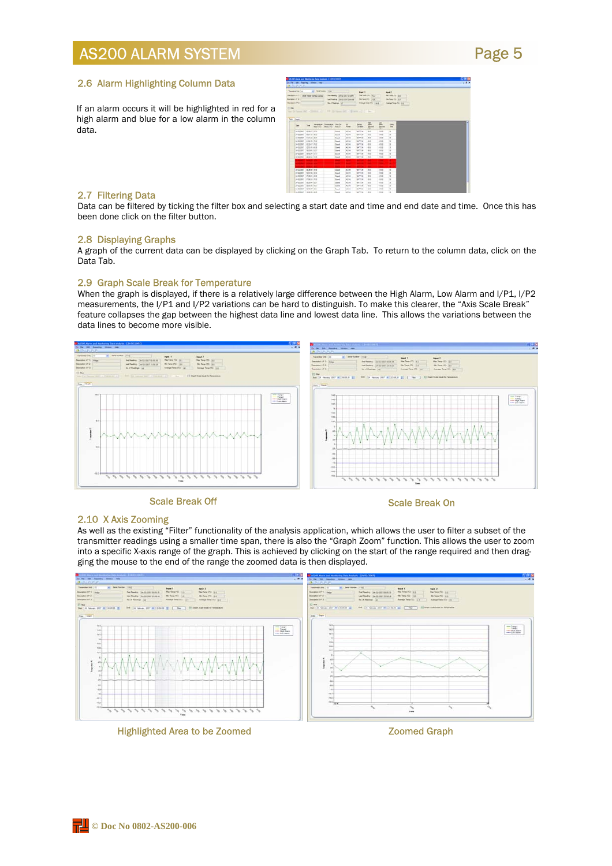### Page 5

#### 2.6 Alarm Highlighting Column Data

If an alarm occurs it will be highlighted in red for a high alarm and blue for a low alarm in the column data.

|                        |                                                        |             | In ret too. Against these year.                             | <b>Tall 20 Moor and Rentwing Tota Institute (14/31/1997)</b> |                              |                                |                                                   |                              |                  |                                     | 54                            |
|------------------------|--------------------------------------------------------|-------------|-------------------------------------------------------------|--------------------------------------------------------------|------------------------------|--------------------------------|---------------------------------------------------|------------------------------|------------------|-------------------------------------|-------------------------------|
| <b>BUNGARY</b>         |                                                        |             |                                                             |                                                              |                              |                                |                                                   |                              |                  |                                     |                               |
| <b>Search Inc., CO</b> |                                                        |             | a) bechase me<br><b>Security 1999</b> Use Food 14 For color |                                                              |                              | the feeling. Units also taken  | <b>Bald T</b>                                     | the first file list is       |                  | <b>Sold P</b><br>the first Fit  par |                               |
| <b>Secretary of C.</b> |                                                        |             |                                                             |                                                              |                              | Las Desire - In colonial count |                                                   | be beautiful living 1        |                  | Ha Tare 712 213                     |                               |
| <b>Service of D</b>    |                                                        |             |                                                             |                                                              | <b>Number of</b>             |                                |                                                   | <b>Insura Sea (Fo. 1964)</b> |                  |                                     | <b><i>SANA FANCOL 112</i></b> |
| CLIma.                 |                                                        |             |                                                             |                                                              |                              |                                |                                                   |                              |                  |                                     |                               |
|                        |                                                        |             | the D Search St. Collabor 17.                               |                                                              |                              |                                | 200 St Special College in College and College and |                              |                  |                                     |                               |
|                        |                                                        |             |                                                             |                                                              |                              |                                |                                                   |                              |                  |                                     |                               |
| hee joints             |                                                        |             |                                                             |                                                              |                              |                                |                                                   |                              |                  |                                     |                               |
|                        |                                                        |             |                                                             |                                                              |                              |                                |                                                   | 岂                            | $\frac{1}{2}$    |                                     | ٠                             |
|                        |                                                        | <b>Time</b> | <b>WOMAN</b><br>Not 170                                     | <b>Temperature</b><br><b>NASTO</b>                           | <b>Star De</b><br>$144$      | æ.<br><b>First</b>             | <b>Saliman</b><br>Gras                            | <b>JELEST</b>                | ≂<br><b>IRAP</b> | $\sim$<br>≂                         |                               |
|                        | <b>M-TE-SMT</b>                                        | 100949-010  |                                                             |                                                              | <b>South</b>                 | 16.24                          | <b>AUTO CAL</b>                                   | 38.1                         | m<br>193         | ٠                                   |                               |
|                        | averaged them in mot                                   |             |                                                             |                                                              | <b>South</b>                 | AL DR                          | <b>AFT? OR</b>                                    | <b>ME</b>                    | <b>TRE</b>       | Ξ                                   |                               |
|                        | by \$6,000 to \$1.00 Mil-                              |             |                                                             |                                                              | South                        | ad be-                         | <b>Auto</b> in                                    | <b>MA</b>                    | $-0.6$           | ÷                                   |                               |
|                        | armier into a ma                                       |             |                                                             |                                                              | <b>Grant</b>                 | 167.04                         | <b>BUTT ON</b>                                    | <b>HER</b>                   | 10.4             | ×                                   |                               |
|                        | NAME OF GROOM AND ADDRESS.                             |             |                                                             |                                                              | <b>Donal</b>                 | R <sub>0</sub>                 | <b>BATTIN</b>                                     | 281                          | costs.           | -<br>×                              |                               |
|                        | parts one? 14230-16-4418                               |             |                                                             |                                                              | <b>Single</b>                | AC16                           | bei <sup>n</sup> im                               | $-400$                       | $-0.01$          | ×                                   |                               |
|                        | sedant inches and                                      |             |                                                             |                                                              | <b>Should</b>                | ALC:N                          | <b>ANTI AM</b>                                    | <b>HELE</b>                  | 148.8            | ٠                                   |                               |
|                        | published contacts and                                 |             |                                                             |                                                              | <b>South</b>                 | 40.796                         | <b>ANTI TAX</b>                                   | <b>HER</b>                   | <b>TOS</b>       | c<br>٠                              |                               |
|                        | <b>MORE INNER</b>                                      |             |                                                             |                                                              | <b>Dock</b>                  | <b>AC DE</b>                   | Auto Car                                          | 1688                         | mi               | ×                                   |                               |
|                        |                                                        |             |                                                             |                                                              |                              | .,                             |                                                   |                              |                  |                                     |                               |
|                        |                                                        |             |                                                             |                                                              |                              |                                |                                                   |                              |                  |                                     |                               |
|                        |                                                        |             |                                                             |                                                              |                              |                                |                                                   |                              |                  |                                     |                               |
|                        | printed back as                                        |             |                                                             |                                                              | <b>SHA</b>                   | 8.16                           | <b>MITTIN</b>                                     | 1,88.9                       | <b>THE</b>       | $\mathbf{z}$                        |                               |
|                        | ING ON! BUYE IS 4                                      |             |                                                             |                                                              | Dend                         | <b>IK OK</b>                   | <b>BRITT CM</b>                                   | $-0.001$                     | <b>TRE</b>       | ×                                   |                               |
|                        | publicated African stude                               |             |                                                             |                                                              | <b>Though</b>                | MT-THE                         | Buffin car                                        | 48.6<br>-                    | 199.9            | ٠<br><b>Color</b>                   |                               |
|                        | PHOENIX (1718) 23-722                                  |             |                                                             |                                                              | <b>Tomat</b>                 | K.26                           | <b>BITTIN</b>                                     | 1.0001                       | $+0.04$          | ×                                   |                               |
|                        | <b>ANTIQUEST DESCRIPTION</b><br>pergrass? laborated in |             |                                                             |                                                              | <b>lime</b>                  | 45.74<br>46.06                 | 60718<br><b>GATTIN</b>                            | 1988<br><b>GREE</b>          | $+0.1$<br>$-0.4$ | ×<br>٠                              |                               |
|                        | la-to-latt: lack-cf ac)                                |             |                                                             |                                                              | <b>Stock</b><br><b>Count</b> | 16.04                          | <b>BATT-DR</b>                                    | ALC: U                       | 14.4             | ×                                   |                               |
|                        |                                                        |             |                                                             |                                                              |                              |                                |                                                   |                              |                  | $-0.00000$                          |                               |
|                        | <b>DI-SERVIT TERCHI MUS</b>                            |             |                                                             |                                                              | <b>Dank</b>                  | <b>NOW</b>                     | <b>SHIT DK</b>                                    | $-1488$                      | <b>TOP</b>       | ٠                                   |                               |

#### 2.7 Filtering Data

Data can be filtered by ticking the filter box and selecting a start date and time and end date and time. Once this has been done click on the filter button.

#### 2.8 Displaying Graphs

A graph of the current data can be displayed by clicking on the Graph Tab. To return to the column data, click on the Data Tab.

#### 2.9 Graph Scale Break for Temperature

When the graph is displayed, if there is a relatively large difference between the High Alarm, Low Alarm and I/P1, I/P2 measurements, the I/P1 and I/P2 variations can be hard to distinguish. To make this clearer, the "Axis Scale Break" feature collapses the gap between the highest data line and lowest data line. This allows the variations between the data lines to become more visible.



#### Scale Break Off Scale Break On

#### 2.10 X Axis Zooming

As well as the existing "Filter" functionality of the analysis application, which allows the user to filter a subset of the transmitter readings using a smaller time span, there is also the "Graph Zoom" function. This allows the user to zoom into a specific X-axis range of the graph. This is achieved by clicking on the start of the range required and then dragging the mouse to the end of the range the zoomed data is then displayed.

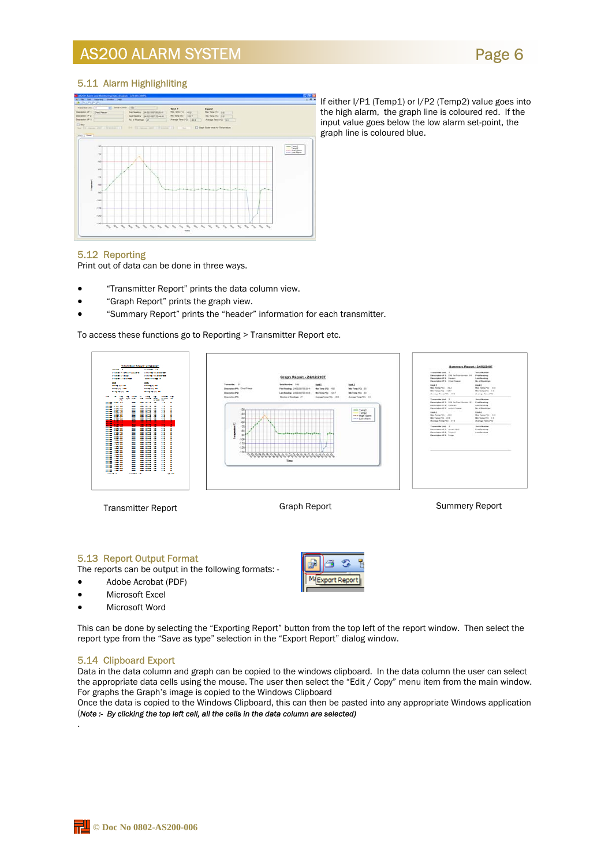### Page 6

#### 5.11 Alarm Highlighliting



If either I/P1 (Temp1) or I/P2 (Temp2) value goes into the high alarm, the graph line is coloured red. If the input value goes below the low alarm set-point, the graph line is coloured blue.

#### 5.12 Reporting

Print out of data can be done in three ways.

- "Transmitter Report" prints the data column view.
- "Graph Report" prints the graph view.
- "Summary Report" prints the "header" information for each transmitter.

To access these functions go to Reporting > Transmitter Report etc.



#### 5.13 Report Output Format

The reports can be output in the following formats: -

- Adobe Acrobat (PDF)
- Microsoft Excel
- Microsoft Word

B MaExport Report

s

This can be done by selecting the "Exporting Report" button from the top left of the report window. Then select the report type from the "Save as type" selection in the "Export Report" dialog window.

#### 5.14 Clipboard Export

.

Data in the data column and graph can be copied to the windows clipboard. In the data column the user can select the appropriate data cells using the mouse. The user then select the "Edit / Copy" menu item from the main window. For graphs the Graph's image is copied to the Windows Clipboard

Once the data is copied to the Windows Clipboard, this can then be pasted into any appropriate Windows application (*Note :- By clicking the top left cell, all the cells in the data column are selected)*